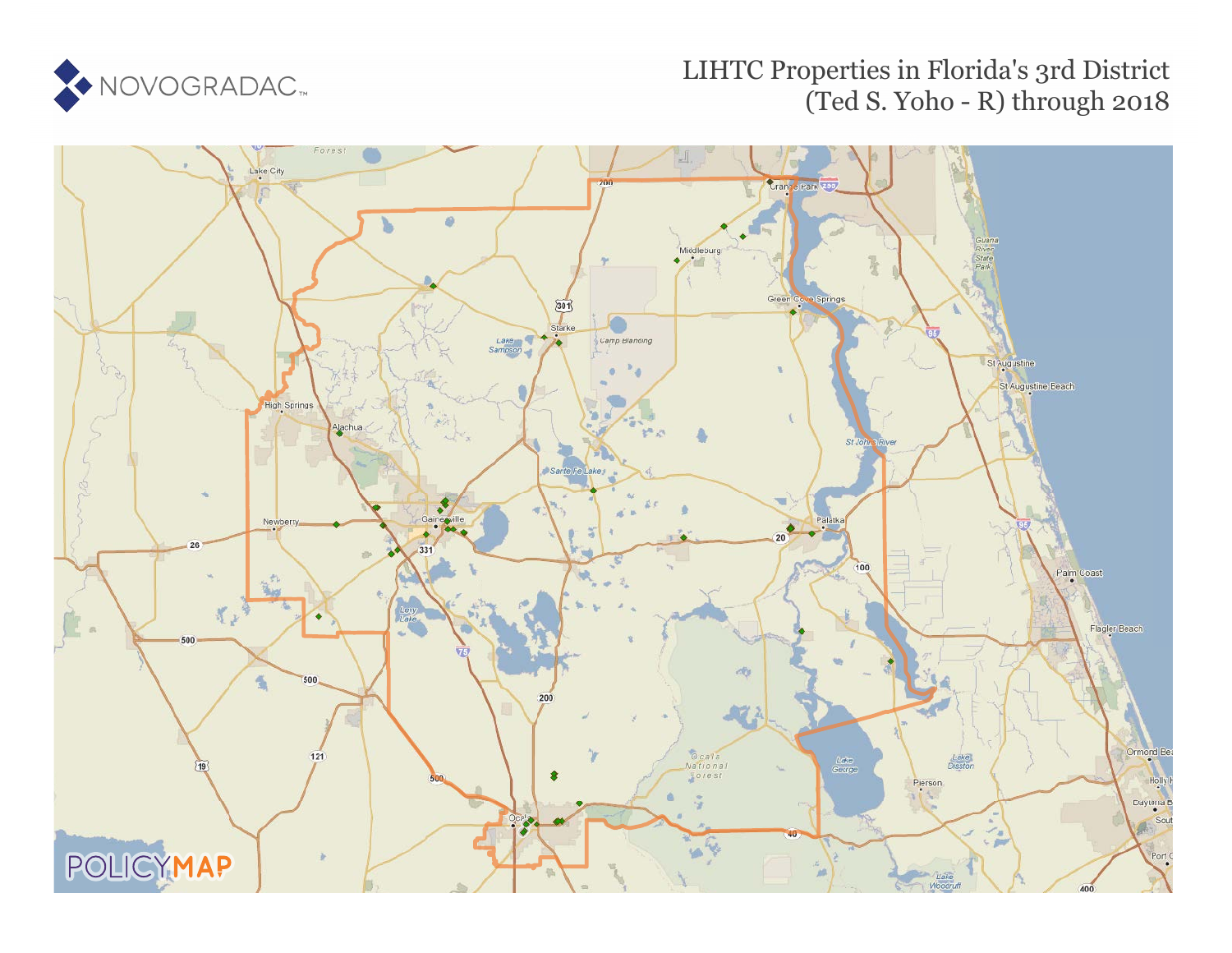

# LIHTC Properties in Florida's 3rd District (Ted S. Yoho - R) through 2018

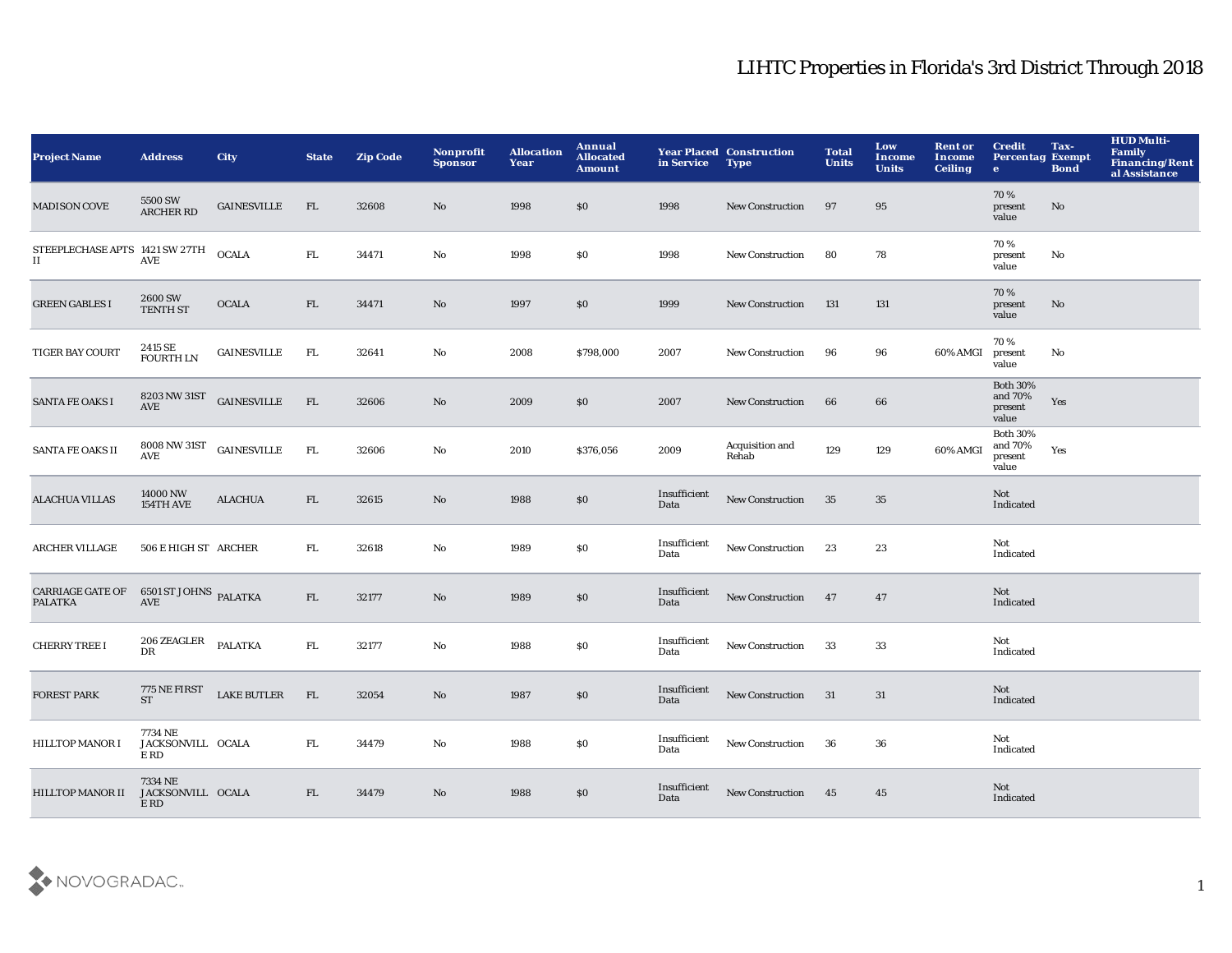| <b>Project Name</b>                       | <b>Address</b>                                   | <b>City</b>        | <b>State</b> | <b>Zip Code</b> | Nonprofit<br><b>Sponsor</b> | <b>Allocation</b><br>Year | Annual<br><b>Allocated</b><br><b>Amount</b> | in Service           | <b>Year Placed Construction</b><br><b>Type</b> | <b>Total</b><br>Units | Low<br>Income<br><b>Units</b> | <b>Rent or</b><br>Income<br><b>Ceiling</b> | <b>Credit</b><br><b>Percentag Exempt</b><br>$\mathbf{e}$ | Tax-<br><b>Bond</b> | <b>HUD Multi-</b><br>Family<br>Financing/Rent<br>al Assistance |
|-------------------------------------------|--------------------------------------------------|--------------------|--------------|-----------------|-----------------------------|---------------------------|---------------------------------------------|----------------------|------------------------------------------------|-----------------------|-------------------------------|--------------------------------------------|----------------------------------------------------------|---------------------|----------------------------------------------------------------|
| <b>MADISON COVE</b>                       | 5500 SW<br><b>ARCHER RD</b>                      | <b>GAINESVILLE</b> | FL.          | 32608           | No                          | 1998                      | \$0                                         | 1998                 | <b>New Construction</b>                        | 97                    | 95                            |                                            | 70%<br>present<br>value                                  | No                  |                                                                |
| STEEPLECHASE APTS 1421 SW 27TH<br>II      | <b>AVE</b>                                       | <b>OCALA</b>       | FL.          | 34471           | No                          | 1998                      | <b>SO</b>                                   | 1998                 | <b>New Construction</b>                        | 80                    | 78                            |                                            | 70%<br>present<br>value                                  | No                  |                                                                |
| <b>GREEN GABLES I</b>                     | $2600\,\mathrm{SW}$ TENTH ST                     | <b>OCALA</b>       | FL           | 34471           | $\mathbf{N}\mathbf{o}$      | 1997                      | \$0                                         | 1999                 | <b>New Construction</b>                        | 131                   | 131                           |                                            | 70%<br>present<br>value                                  | No                  |                                                                |
| <b>TIGER BAY COURT</b>                    | 2415 SE<br><b>FOURTH LN</b>                      | <b>GAINESVILLE</b> | FL.          | 32641           | $\rm No$                    | 2008                      | \$798,000                                   | 2007                 | New Construction                               | 96                    | 96                            | 60% AMGI                                   | 70%<br>present<br>value                                  | No                  |                                                                |
| <b>SANTA FE OAKS I</b>                    | 8203 NW 31ST<br>AVE                              | <b>GAINESVILLE</b> | FL           | 32606           | No                          | 2009                      | \$0                                         | 2007                 | <b>New Construction</b>                        | 66                    | 66                            |                                            | <b>Both 30%</b><br>and 70%<br>present<br>value           | Yes                 |                                                                |
| SANTA FE OAKS II                          | 8008 NW 31ST<br>$\mathbf{A}\mathbf{V}\mathbf{E}$ | <b>GAINESVILLE</b> | FL           | 32606           | No                          | 2010                      | \$376,056                                   | 2009                 | Acquisition and<br>Rehab                       | 129                   | 129                           | 60% AMGI                                   | <b>Both 30%</b><br>and 70%<br>present<br>value           | Yes                 |                                                                |
| <b>ALACHUA VILLAS</b>                     | 14000 NW<br>154TH AVE                            | <b>ALACHUA</b>     | FL           | 32615           | $\rm No$                    | 1988                      | $\$0$                                       | Insufficient<br>Data | <b>New Construction</b>                        | 35                    | 35                            |                                            | Not<br>Indicated                                         |                     |                                                                |
| <b>ARCHER VILLAGE</b>                     | 506 E HIGH ST ARCHER                             |                    | FL.          | 32618           | No                          | 1989                      | \$0                                         | Insufficient<br>Data | New Construction                               | 23                    | 23                            |                                            | Not<br>Indicated                                         |                     |                                                                |
| <b>CARRIAGE GATE OF</b><br><b>PALATKA</b> | $6501$ ST JOHNS $\,$ PALATKA $\,$ AVE            |                    | FL           | 32177           | No                          | 1989                      | $\$0$                                       | Insufficient<br>Data | New Construction 47                            |                       | 47                            |                                            | Not<br>Indicated                                         |                     |                                                                |
| <b>CHERRY TREE I</b>                      | 206 ZEAGLER<br>DR                                | <b>PALATKA</b>     | ${\rm FL}$   | 32177           | No                          | 1988                      | $\$0$                                       | Insufficient<br>Data | New Construction                               | 33                    | 33                            |                                            | Not<br>Indicated                                         |                     |                                                                |
| <b>FOREST PARK</b>                        | 775 NE FIRST<br><b>ST</b>                        | <b>LAKE BUTLER</b> | FL           | 32054           | No                          | 1987                      | \$0                                         | Insufficient<br>Data | <b>New Construction</b>                        | 31                    | 31                            |                                            | Not<br>Indicated                                         |                     |                                                                |
| <b>HILLTOP MANOR I</b>                    | 7734 NE<br>JACKSONVILL OCALA<br>E RD             |                    | FL.          | 34479           | No                          | 1988                      | \$0                                         | Insufficient<br>Data | <b>New Construction</b>                        | - 36                  | 36                            |                                            | Not<br>Indicated                                         |                     |                                                                |
| <b>HILLTOP MANOR II</b>                   | 7334 NE<br>JACKSONVILL OCALA<br>$E$ RD           |                    | FL.          | 34479           | No                          | 1988                      | \$0                                         | Insufficient<br>Data | <b>New Construction</b>                        | 45                    | 45                            |                                            | Not<br>Indicated                                         |                     |                                                                |

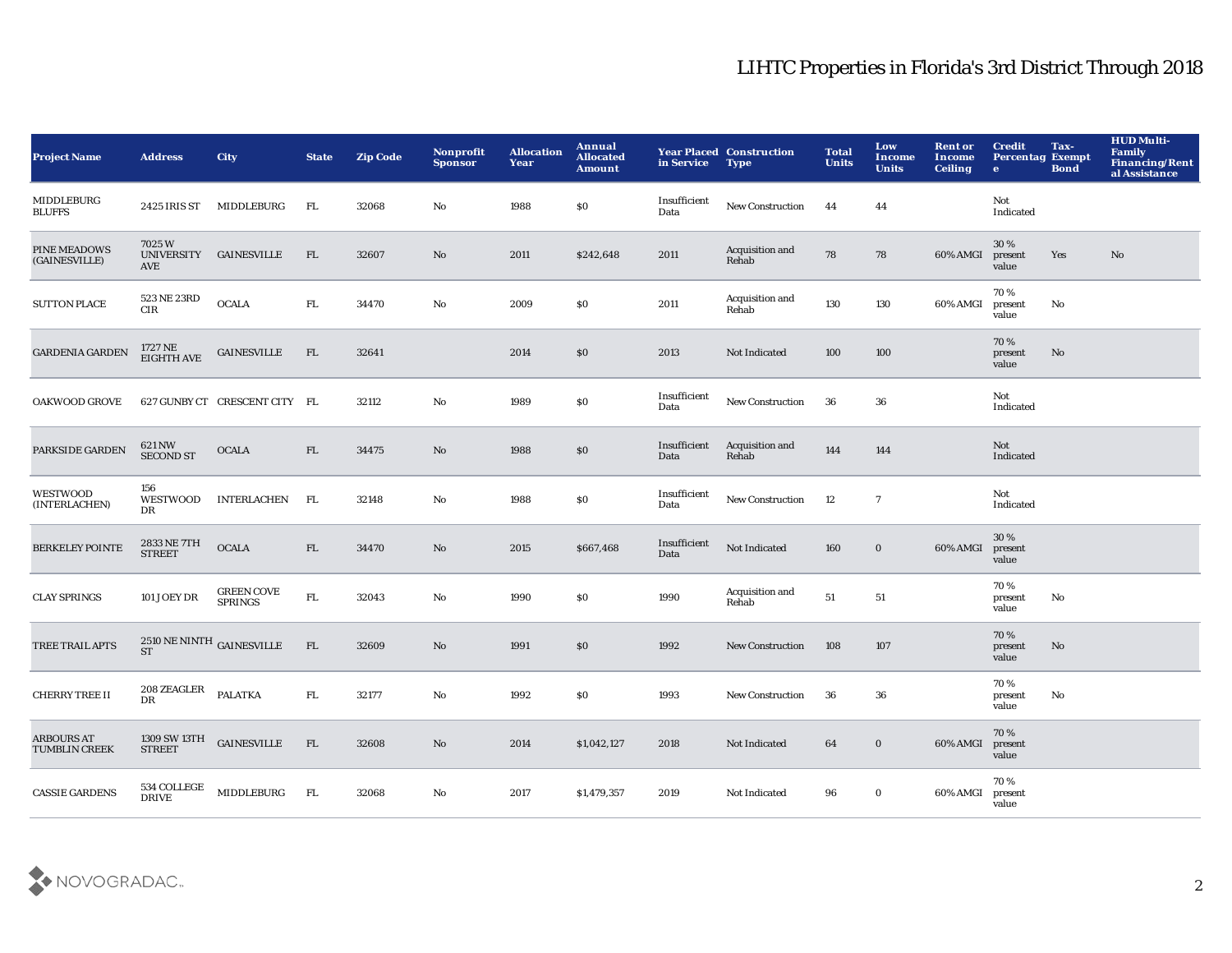| <b>Project Name</b>                       | <b>Address</b>                | City                                            | <b>State</b> | <b>Zip Code</b> | Nonprofit<br><b>Sponsor</b> | <b>Allocation</b><br>Year | Annual<br><b>Allocated</b><br><b>Amount</b> | in Service           | <b>Year Placed Construction</b><br><b>Type</b> | <b>Total</b><br><b>Units</b> | Low<br><b>Income</b><br><b>Units</b> | <b>Rent or</b><br><b>Income</b><br><b>Ceiling</b> | <b>Credit</b><br><b>Percentag Exempt</b><br>$\bullet$ | Tax-<br><b>Bond</b>    | <b>HUD Multi-</b><br>Family<br><b>Financing/Rent</b><br>al Assistance |
|-------------------------------------------|-------------------------------|-------------------------------------------------|--------------|-----------------|-----------------------------|---------------------------|---------------------------------------------|----------------------|------------------------------------------------|------------------------------|--------------------------------------|---------------------------------------------------|-------------------------------------------------------|------------------------|-----------------------------------------------------------------------|
| <b>MIDDLEBURG</b><br><b>BLUFFS</b>        | 2425 IRIS ST                  | MIDDLEBURG                                      | FL.          | 32068           | No                          | 1988                      | $\$0$                                       | Insufficient<br>Data | New Construction                               | 44                           | 44                                   |                                                   | Not<br>Indicated                                      |                        |                                                                       |
| PINE MEADOWS<br>(GAINESVILLE)             | 7025W<br>AVE                  | UNIVERSITY GAINESVILLE                          | FL           | 32607           | No                          | 2011                      | \$242,648                                   | 2011                 | Acquisition and<br>Rehab                       | 78                           | 78                                   | 60% AMGI                                          | 30 %<br>present<br>value                              | Yes                    | $\mathbf{N}\mathbf{o}$                                                |
| <b>SUTTON PLACE</b>                       | 523 NE 23RD<br><b>CIR</b>     | <b>OCALA</b>                                    | ${\rm FL}$   | 34470           | $\mathbf{No}$               | 2009                      | $\$0$                                       | 2011                 | Acquisition and<br>Rehab                       | 130                          | 130                                  | 60% AMGI                                          | 70%<br>present<br>value                               | $\rm No$               |                                                                       |
| <b>GARDENIA GARDEN</b>                    | 1727 NE<br>EIGHTH AVE         | <b>GAINESVILLE</b>                              | FL           | 32641           |                             | 2014                      | \$0                                         | 2013                 | Not Indicated                                  | 100                          | 100                                  |                                                   | 70%<br>present<br>value                               | No                     |                                                                       |
| <b>OAKWOOD GROVE</b>                      |                               | 627 GUNBY CT CRESCENT CITY FL                   |              | 32112           | No                          | 1989                      | $\$0$                                       | Insufficient<br>Data | New Construction                               | 36                           | ${\bf 36}$                           |                                                   | Not<br>Indicated                                      |                        |                                                                       |
| PARKSIDE GARDEN                           | 621 NW<br><b>SECOND ST</b>    | <b>OCALA</b>                                    | ${\rm FL}$   | 34475           | No                          | 1988                      | $\$0$                                       | Insufficient<br>Data | Acquisition and<br>Rehab                       | 144                          | 144                                  |                                                   | Not<br>Indicated                                      |                        |                                                                       |
| WESTWOOD<br>(INTERLACHEN)                 | 156<br><b>WESTWOOD</b><br>DR  | <b>INTERLACHEN</b>                              | FL           | 32148           | No                          | 1988                      | $\$0$                                       | Insufficient<br>Data | New Construction                               | 12                           | $\overline{7}$                       |                                                   | Not<br>Indicated                                      |                        |                                                                       |
| <b>BERKELEY POINTE</b>                    | 2833 NE 7TH<br><b>STREET</b>  | <b>OCALA</b>                                    | FL           | 34470           | No                          | 2015                      | \$667,468                                   | Insufficient<br>Data | Not Indicated                                  | 160                          | $\bf{0}$                             | 60% AMGI                                          | 30 %<br>present<br>value                              |                        |                                                                       |
| <b>CLAY SPRINGS</b>                       | <b>101 JOEY DR</b>            | <b>GREEN COVE</b><br><b>SPRINGS</b>             | ${\rm FL}$   | 32043           | No                          | 1990                      | \$0                                         | 1990                 | Acquisition and<br>Rehab                       | 51                           | 51                                   |                                                   | 70%<br>present<br>value                               | No                     |                                                                       |
| TREE TRAIL APTS                           | <b>ST</b>                     | $2510\,\mathrm{NE}\,\mathrm{NINTH}$ GAINESVILLE | FL           | 32609           | No                          | 1991                      | $\$0$                                       | 1992                 | <b>New Construction</b>                        | 108                          | 107                                  |                                                   | 70%<br>present<br>value                               | $\mathbf{N}\mathbf{o}$ |                                                                       |
| <b>CHERRY TREE II</b>                     | 208 ZEAGLER<br>DR             | PALATKA                                         | ${\rm FL}$   | 32177           | No                          | 1992                      | \$0\$                                       | 1993                 | <b>New Construction</b>                        | 36                           | 36                                   |                                                   | 70%<br>present<br>value                               | No                     |                                                                       |
| <b>ARBOURS AT</b><br><b>TUMBLIN CREEK</b> | 1309 SW 13TH<br><b>STREET</b> | $\sf GAINESVILLE$                               | FL           | 32608           | No                          | 2014                      | \$1,042,127                                 | 2018                 | Not Indicated                                  | 64                           | $\mathbf 0$                          | 60% AMGI                                          | 70%<br>present<br>value                               |                        |                                                                       |
| <b>CASSIE GARDENS</b>                     | 534 COLLEGE<br><b>DRIVE</b>   | MIDDLEBURG                                      | FL           | 32068           | No                          | 2017                      | \$1,479,357                                 | 2019                 | Not Indicated                                  | 96                           | $\bf{0}$                             | 60% AMGI                                          | 70%<br>present<br>value                               |                        |                                                                       |

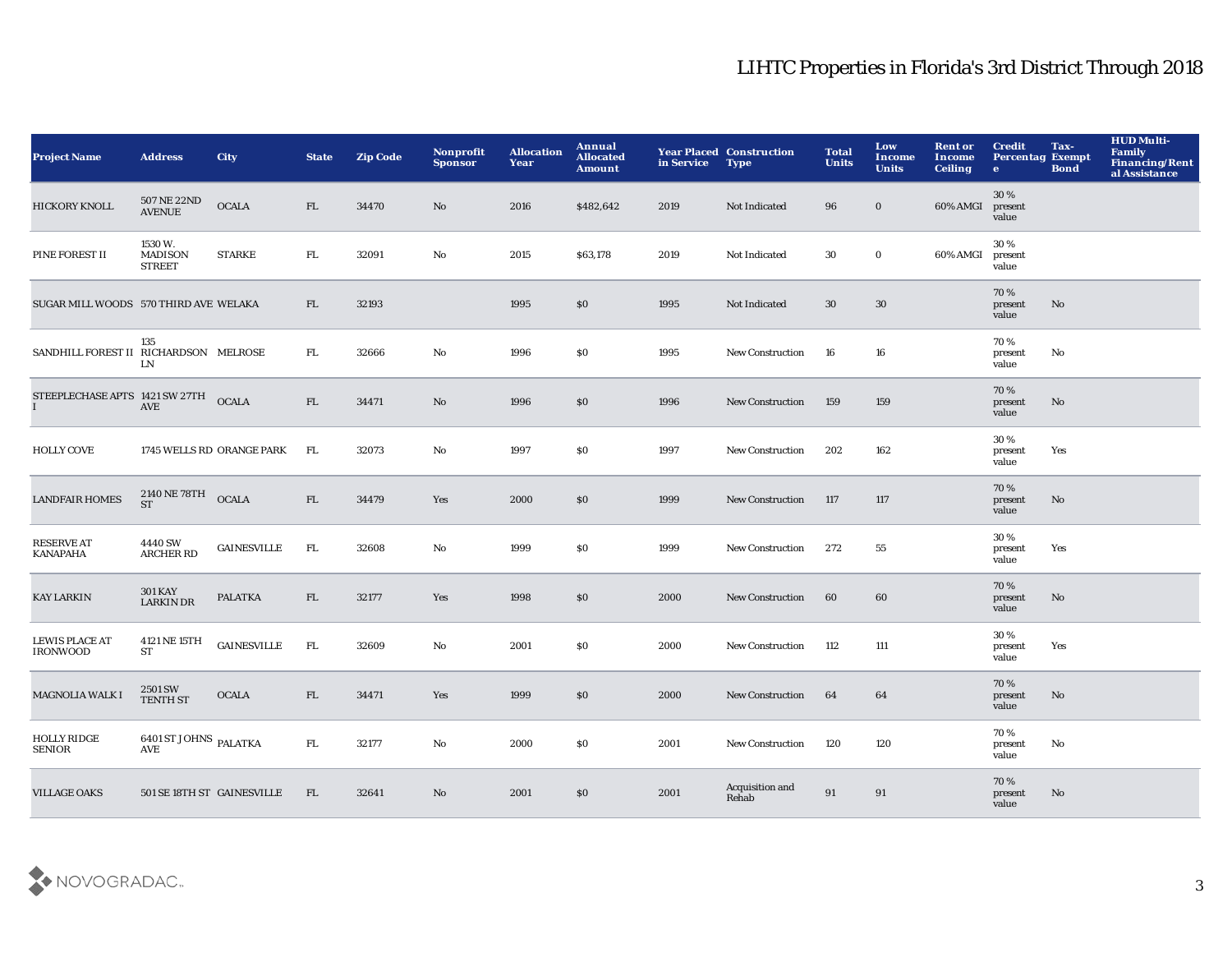| <b>Project Name</b>                                  | <b>Address</b>                            | <b>City</b>               | <b>State</b> | <b>Zip Code</b> | <b>Nonprofit</b><br><b>Sponsor</b> | <b>Allocation</b><br>Year | Annual<br><b>Allocated</b><br><b>Amount</b> | in Service | <b>Year Placed Construction</b><br><b>Type</b> | <b>Total</b><br><b>Units</b> | Low<br>Income<br><b>Units</b> | <b>Rent or</b><br>Income<br><b>Ceiling</b> | <b>Credit</b><br><b>Percentag Exempt</b><br>$\bullet$ | Tax-<br><b>Bond</b> | <b>HUD Multi-</b><br>Family<br>Financing/Rent<br>al Assistance |
|------------------------------------------------------|-------------------------------------------|---------------------------|--------------|-----------------|------------------------------------|---------------------------|---------------------------------------------|------------|------------------------------------------------|------------------------------|-------------------------------|--------------------------------------------|-------------------------------------------------------|---------------------|----------------------------------------------------------------|
| HICKORY KNOLL                                        | 507 NE 22ND<br><b>AVENUE</b>              | <b>OCALA</b>              | FL           | 34470           | $\mathbf{N}\mathbf{o}$             | 2016                      | \$482,642                                   | 2019       | Not Indicated                                  | 96                           | $\bf{0}$                      | 60% AMGI                                   | 30%<br>present<br>value                               |                     |                                                                |
| PINE FOREST II                                       | 1530W.<br><b>MADISON</b><br><b>STREET</b> | <b>STARKE</b>             | FL.          | 32091           | $\rm No$                           | 2015                      | \$63,178                                    | 2019       | Not Indicated                                  | 30                           | $\mathbf 0$                   | 60% AMGI                                   | 30%<br>present<br>value                               |                     |                                                                |
| SUGAR MILL WOODS 570 THIRD AVE WELAKA                |                                           |                           | FL.          | 32193           |                                    | 1995                      | \$0                                         | 1995       | Not Indicated                                  | 30                           | 30                            |                                            | 70%<br>present<br>value                               | No                  |                                                                |
| SANDHILL FOREST II RICHARDSON MELROSE                | 135<br>LN                                 |                           | FL.          | 32666           | $\mathbf {No}$                     | 1996                      | \$0                                         | 1995       | <b>New Construction</b>                        | 16                           | 16                            |                                            | 70%<br>present<br>value                               | No                  |                                                                |
| STEEPLECHASE APTS 1421 SW 27TH OCALA<br>$\mathbf{I}$ | $\operatorname{AVE}$                      |                           | FL           | 34471           | No                                 | 1996                      | \$0                                         | 1996       | New Construction                               | 159                          | 159                           |                                            | 70%<br>present<br>value                               | No                  |                                                                |
| <b>HOLLY COVE</b>                                    |                                           | 1745 WELLS RD ORANGE PARK | FL           | 32073           | No                                 | 1997                      | \$0                                         | 1997       | New Construction                               | 202                          | 162                           |                                            | 30%<br>present<br>value                               | Yes                 |                                                                |
| <b>LANDFAIR HOMES</b>                                | 2140 NE 78TH OCALA<br><b>ST</b>           |                           | FL           | 34479           | Yes                                | 2000                      | \$0                                         | 1999       | New Construction                               | 117                          | 117                           |                                            | 70%<br>present<br>value                               | No                  |                                                                |
| <b>RESERVE AT</b><br><b>KANAPAHA</b>                 | 4440 SW<br><b>ARCHER RD</b>               | <b>GAINESVILLE</b>        | FL           | 32608           | No                                 | 1999                      | \$0                                         | 1999       | New Construction                               | 272                          | 55                            |                                            | 30%<br>present<br>value                               | Yes                 |                                                                |
| <b>KAY LARKIN</b>                                    | <b>301 KAY</b><br><b>LARKIN DR</b>        | <b>PALATKA</b>            | FL           | 32177           | Yes                                | 1998                      | \$0                                         | 2000       | <b>New Construction</b>                        | 60                           | 60                            |                                            | 70%<br>present<br>value                               | No                  |                                                                |
| <b>LEWIS PLACE AT</b><br><b>IRONWOOD</b>             | 4121 NE 15TH<br><b>ST</b>                 | <b>GAINESVILLE</b>        | FL.          | 32609           | No                                 | 2001                      | \$0                                         | 2000       | New Construction                               | 112                          | 111                           |                                            | 30 %<br>present<br>value                              | Yes                 |                                                                |
| MAGNOLIA WALK I                                      | 2501 SW<br><b>TENTH ST</b>                | <b>OCALA</b>              | FL           | 34471           | Yes                                | 1999                      | \$0                                         | 2000       | <b>New Construction</b>                        | 64                           | 64                            |                                            | 70%<br>present<br>value                               | No                  |                                                                |
| <b>HOLLY RIDGE</b><br><b>SENIOR</b>                  | 6401 ST JOHNS PALATKA<br><b>AVE</b>       |                           | FL.          | 32177           | No                                 | 2000                      | <b>SO</b>                                   | 2001       | <b>New Construction</b>                        | 120                          | 120                           |                                            | 70%<br>present<br>value                               | No                  |                                                                |
| <b>VILLAGE OAKS</b>                                  | 501 SE 18TH ST GAINESVILLE                |                           | FL.          | 32641           | No                                 | 2001                      | \$0                                         | 2001       | Acquisition and<br>Rehab                       | 91                           | 91                            |                                            | 70%<br>present<br>value                               | No                  |                                                                |

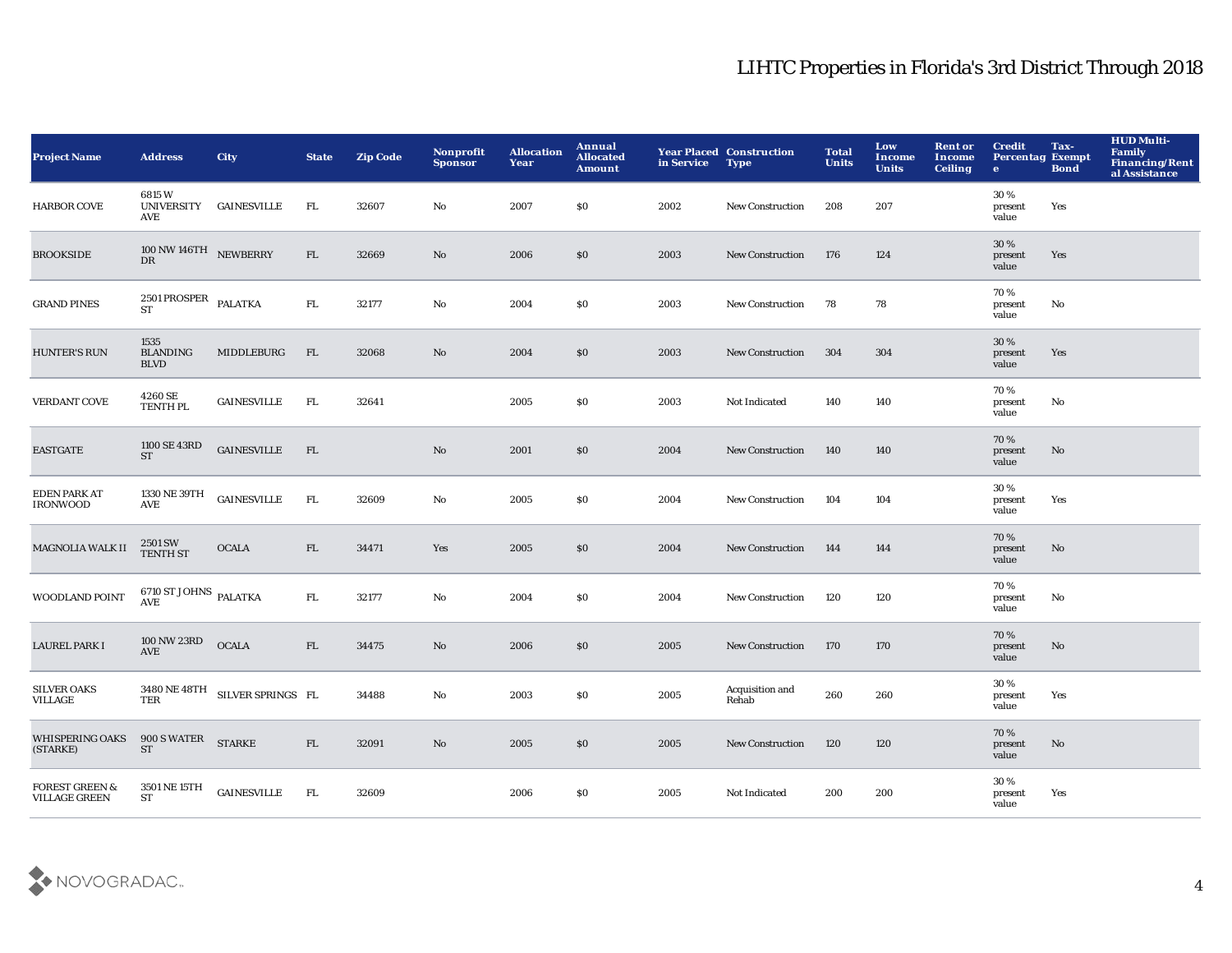| <b>Project Name</b>                               | <b>Address</b>                                   | <b>City</b>                    | <b>State</b> | <b>Zip Code</b> | <b>Nonprofit</b><br><b>Sponsor</b> | <b>Allocation</b><br>Year | Annual<br><b>Allocated</b><br><b>Amount</b> | in Service | <b>Year Placed Construction</b><br><b>Type</b> | <b>Total</b><br><b>Units</b> | Low<br>Income<br><b>Units</b> | <b>Rent or</b><br><b>Income</b><br><b>Ceiling</b> | <b>Credit</b><br><b>Percentag Exempt</b><br>$\bullet$ | Tax-<br><b>Bond</b> | <b>HUD Multi-</b><br>Family<br>Financing/Rent<br>al Assistance |
|---------------------------------------------------|--------------------------------------------------|--------------------------------|--------------|-----------------|------------------------------------|---------------------------|---------------------------------------------|------------|------------------------------------------------|------------------------------|-------------------------------|---------------------------------------------------|-------------------------------------------------------|---------------------|----------------------------------------------------------------|
| <b>HARBOR COVE</b>                                | 6815W<br><b>UNIVERSITY</b><br>AVE                | GAINESVILLE                    | FL.          | 32607           | No                                 | 2007                      | <b>SO</b>                                   | 2002       | New Construction                               | 208                          | 207                           |                                                   | 30 %<br>present<br>value                              | Yes                 |                                                                |
| <b>BROOKSIDE</b>                                  | $100$ NW $146\mathrm{TH}$ $$\,$ NEWBERRY $\,$ DR |                                | FL           | 32669           | $\mathbf{N}\mathbf{o}$             | 2006                      | \$0                                         | 2003       | New Construction                               | 176                          | 124                           |                                                   | 30%<br>present<br>value                               | Yes                 |                                                                |
| <b>GRAND PINES</b>                                | 2501 PROSPER PALATKA<br><b>ST</b>                |                                | ${\rm FL}$   | 32177           | No                                 | 2004                      | \$0                                         | 2003       | <b>New Construction</b>                        | 78                           | 78                            |                                                   | 70 %<br>present<br>value                              | No                  |                                                                |
| <b>HUNTER'S RUN</b>                               | 1535<br><b>BLANDING</b><br><b>BLVD</b>           | MIDDLEBURG                     | FL           | 32068           | $\rm No$                           | 2004                      | \$0                                         | 2003       | New Construction                               | 304                          | 304                           |                                                   | 30 %<br>present<br>value                              | Yes                 |                                                                |
| <b>VERDANT COVE</b>                               | 4260 SE<br>TENTH PL                              | <b>GAINESVILLE</b>             | FL           | 32641           |                                    | 2005                      | \$0                                         | 2003       | Not Indicated                                  | 140                          | 140                           |                                                   | 70%<br>present<br>value                               | No                  |                                                                |
| <b>EASTGATE</b>                                   | 1100 SE 43RD<br><b>ST</b>                        | <b>GAINESVILLE</b>             | FL           |                 | No                                 | 2001                      | \$0                                         | 2004       | <b>New Construction</b>                        | 140                          | 140                           |                                                   | 70%<br>present<br>value                               | No                  |                                                                |
| <b>EDEN PARK AT</b><br><b>IRONWOOD</b>            | 1330 NE 39TH<br><b>AVE</b>                       | <b>GAINESVILLE</b>             | FL.          | 32609           | No                                 | 2005                      | \$0                                         | 2004       | <b>New Construction</b>                        | 104                          | 104                           |                                                   | 30 %<br>present<br>value                              | Yes                 |                                                                |
| MAGNOLIA WALK II                                  | 2501 SW<br><b>TENTH ST</b>                       | <b>OCALA</b>                   | FL           | 34471           | Yes                                | 2005                      | \$0                                         | 2004       | New Construction                               | 144                          | 144                           |                                                   | 70%<br>present<br>value                               | No                  |                                                                |
| WOODLAND POINT                                    | $6710$ ST JOHNS $_{\rm PALATKA}$<br><b>AVE</b>   |                                | FL.          | 32177           | $\mathbf {No}$                     | 2004                      | \$0                                         | 2004       | New Construction                               | 120                          | 120                           |                                                   | 70%<br>present<br>value                               | No                  |                                                                |
| <b>LAUREL PARK I</b>                              | $100\,\mathrm{NW}\,23\mathrm{RD}$<br>AVE         | <b>OCALA</b>                   | FL           | 34475           | $\rm No$                           | 2006                      | \$0                                         | 2005       | <b>New Construction</b>                        | 170                          | 170                           |                                                   | 70 %<br>present<br>value                              | No                  |                                                                |
| <b>SILVER OAKS</b><br><b>VILLAGE</b>              | TER                                              | 3480 NE 48TH SILVER SPRINGS FL |              | 34488           | $\rm No$                           | 2003                      | \$0                                         | 2005       | Acquisition and<br>Rehab                       | 260                          | 260                           |                                                   | 30%<br>present<br>value                               | Yes                 |                                                                |
| <b>WHISPERING OAKS</b><br>(STARKE)                | 900 S WATER STARKE<br><b>ST</b>                  |                                | FL           | 32091           | $\mathbf{N}\mathbf{o}$             | 2005                      | \$0                                         | 2005       | <b>New Construction</b>                        | 120                          | 120                           |                                                   | 70%<br>present<br>value                               | No                  |                                                                |
| <b>FOREST GREEN &amp;</b><br><b>VILLAGE GREEN</b> | 3501 NE 15TH<br><b>ST</b>                        | <b>GAINESVILLE</b>             | FL.          | 32609           |                                    | 2006                      | \$0                                         | 2005       | Not Indicated                                  | 200                          | 200                           |                                                   | 30%<br>present<br>value                               | Yes                 |                                                                |